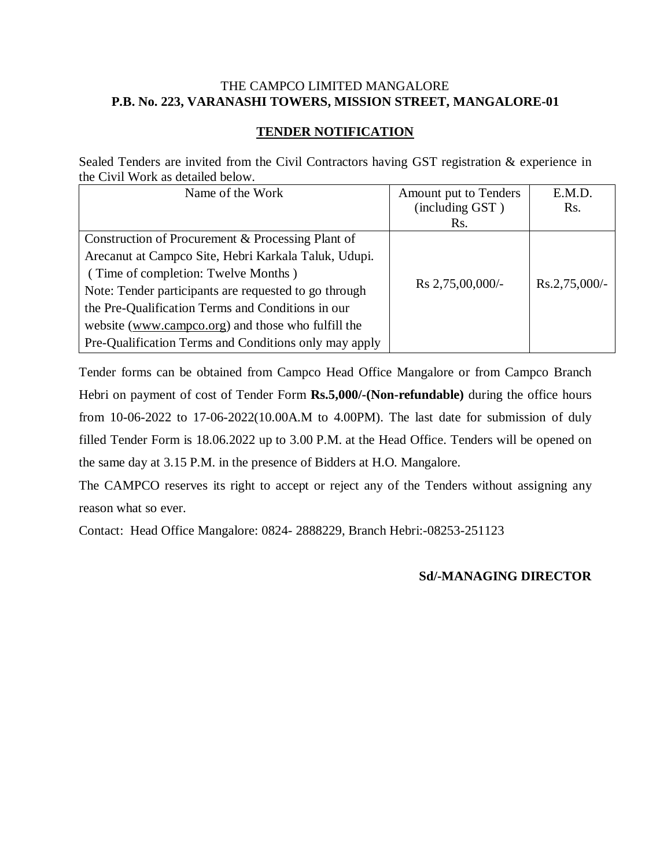### THE CAMPCO LIMITED MANGALORE **P.B. No. 223, VARANASHI TOWERS, MISSION STREET, MANGALORE-01**

# **TENDER NOTIFICATION**

Sealed Tenders are invited from the Civil Contractors having GST registration & experience in the Civil Work as detailed below.

| Name of the Work                                      | Amount put to Tenders | E.M.D.           |
|-------------------------------------------------------|-----------------------|------------------|
|                                                       | (including GST)       | Rs.              |
|                                                       | Rs.                   |                  |
| Construction of Procurement & Processing Plant of     |                       |                  |
| Arecanut at Campco Site, Hebri Karkala Taluk, Udupi.  |                       |                  |
| (Time of completion: Twelve Months)                   |                       |                  |
| Note: Tender participants are requested to go through | Rs 2,75,00,000/-      | $Rs.2,75,000/$ - |
| the Pre-Qualification Terms and Conditions in our     |                       |                  |
| website (www.campco.org) and those who fulfill the    |                       |                  |
| Pre-Qualification Terms and Conditions only may apply |                       |                  |

Tender forms can be obtained from Campco Head Office Mangalore or from Campco Branch Hebri on payment of cost of Tender Form **Rs.5,000/-(Non-refundable)** during the office hours from 10-06-2022 to 17-06-2022(10.00A.M to 4.00PM). The last date for submission of duly filled Tender Form is 18.06.2022 up to 3.00 P.M. at the Head Office. Tenders will be opened on the same day at 3.15 P.M. in the presence of Bidders at H.O. Mangalore.

The CAMPCO reserves its right to accept or reject any of the Tenders without assigning any reason what so ever.

Contact: Head Office Mangalore: 0824- 2888229, Branch Hebri:-08253-251123

### **Sd/-MANAGING DIRECTOR**